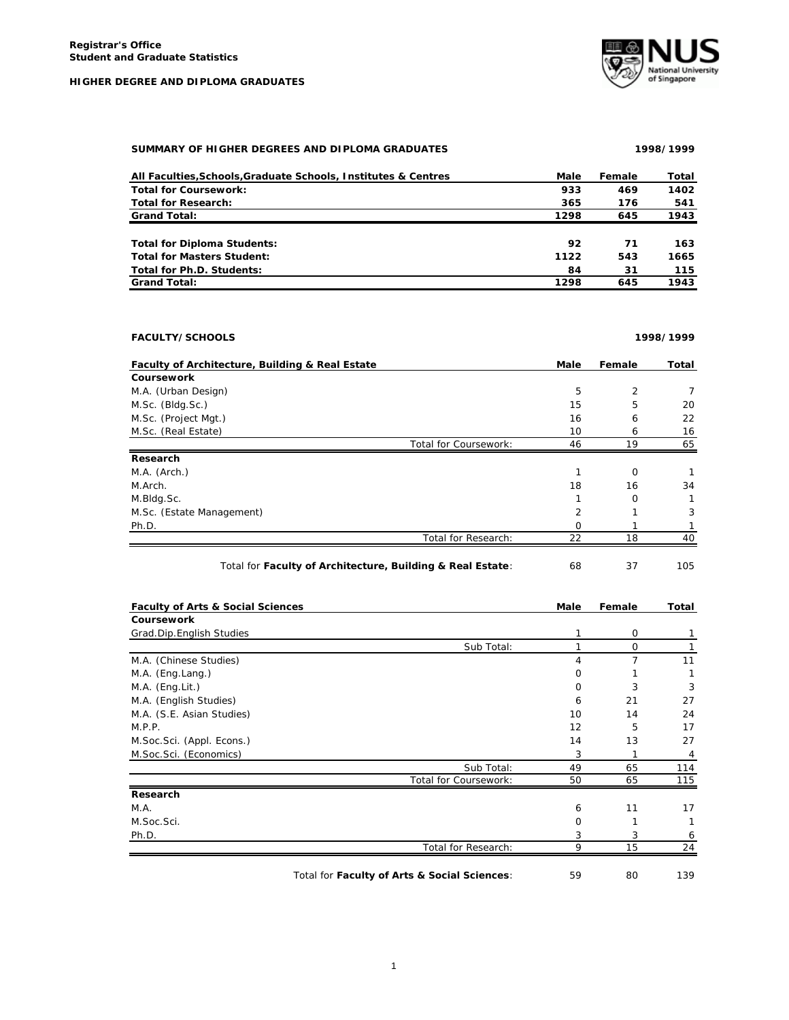

## SUMMARY OF HIGHER DEGREES AND DIPLOMA GRADUATES **1998/1999** 1998/1999

| All Faculties, Schools, Graduate Schools, Institutes & Centres | Male | Female | Total |
|----------------------------------------------------------------|------|--------|-------|
| <b>Total for Coursework:</b>                                   | 933  | 469    | 1402  |
| <b>Total for Research:</b>                                     | 365  | 176    | 541   |
| <b>Grand Total:</b>                                            | 1298 | 645    | 1943  |
|                                                                |      |        |       |
| <b>Total for Diploma Students:</b>                             | 92   | 71     | 163   |
| <b>Total for Masters Student:</b>                              | 1122 | 543    | 1665  |
| Total for Ph.D. Students:                                      | 84   | 31     | 115   |
| <b>Grand Total:</b>                                            | 1298 | 645    | 1943  |

| Faculty of Architecture, Building & Real Estate |                       | Male           | Female   | Total |
|-------------------------------------------------|-----------------------|----------------|----------|-------|
| <b>Coursework</b>                               |                       |                |          |       |
| M.A. (Urban Design)                             |                       | 5              | 2        | 7     |
| M.Sc. (Bldg.Sc.)                                |                       | 15             | 5        | 20    |
| M.Sc. (Project Mgt.)                            |                       | 16             | 6        | 22    |
| M.Sc. (Real Estate)                             |                       | 10             | 6        | 16    |
|                                                 | Total for Coursework: | 46             | 19       | 65    |
| Research                                        |                       |                |          |       |
| M.A. (Arch.)                                    |                       | 1              | $\Omega$ | 1     |
| M.Arch.                                         |                       | 18             | 16       | 34    |
| M.Bldg.Sc.                                      |                       |                | $\Omega$ | 1     |
| M.Sc. (Estate Management)                       |                       | $\overline{2}$ | 1        | 3     |
| Ph.D.                                           |                       | $\Omega$       |          |       |
|                                                 | Total for Research:   | 22             | 18       | 40    |

**FACULTY/SCHOOLS 1998/1999**

| Total for Faculty of Architecture, Building & Real Estate: | 68 | 105 |
|------------------------------------------------------------|----|-----|
|                                                            |    |     |

|  |  | i.<br>1 |
|--|--|---------|
|  |  |         |

| <b>Faculty of Arts &amp; Social Sciences</b> |                                              | Male     | Female      | Total |
|----------------------------------------------|----------------------------------------------|----------|-------------|-------|
| <b>Coursework</b>                            |                                              |          |             |       |
| Grad.Dip.English Studies                     |                                              |          | 0           |       |
|                                              | Sub Total:                                   | 1        | $\mathbf 0$ |       |
| M.A. (Chinese Studies)                       |                                              | 4        | 7           | 11    |
| M.A. (Eng.Lang.)                             |                                              | O        |             |       |
| $M.A.$ (Eng. Lit.)                           |                                              | $\Omega$ | 3           | 3     |
| M.A. (English Studies)                       |                                              | 6        | 21          | 27    |
| M.A. (S.E. Asian Studies)                    |                                              | 10       | 14          | 24    |
| M.P.P.                                       |                                              | 12       | 5           | 17    |
| M.Soc.Sci. (Appl. Econs.)                    |                                              | 14       | 13          | 27    |
| M.Soc.Sci. (Economics)                       |                                              | 3        | 1           | 4     |
|                                              | Sub Total:                                   | 49       | 65          | 114   |
|                                              | Total for Coursework:                        | 50       | 65          | 115   |
| Research                                     |                                              |          |             |       |
| M.A.                                         |                                              | 6        | 11          | 17    |
| M.Soc.Sci.                                   |                                              | O        |             |       |
| Ph.D.                                        |                                              | 3        | 3           | 6     |
|                                              | Total for Research:                          | 9        | 15          | 24    |
|                                              |                                              |          |             |       |
|                                              | Total for Faculty of Arts & Social Sciences: | 59       | 80          | 139   |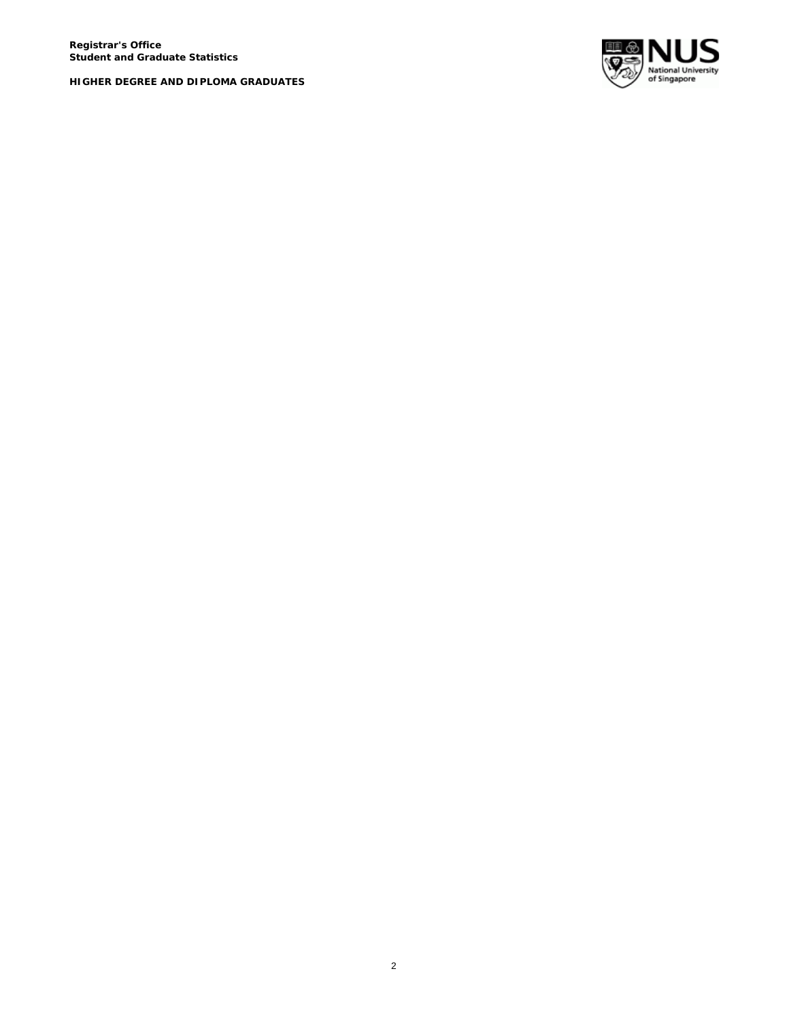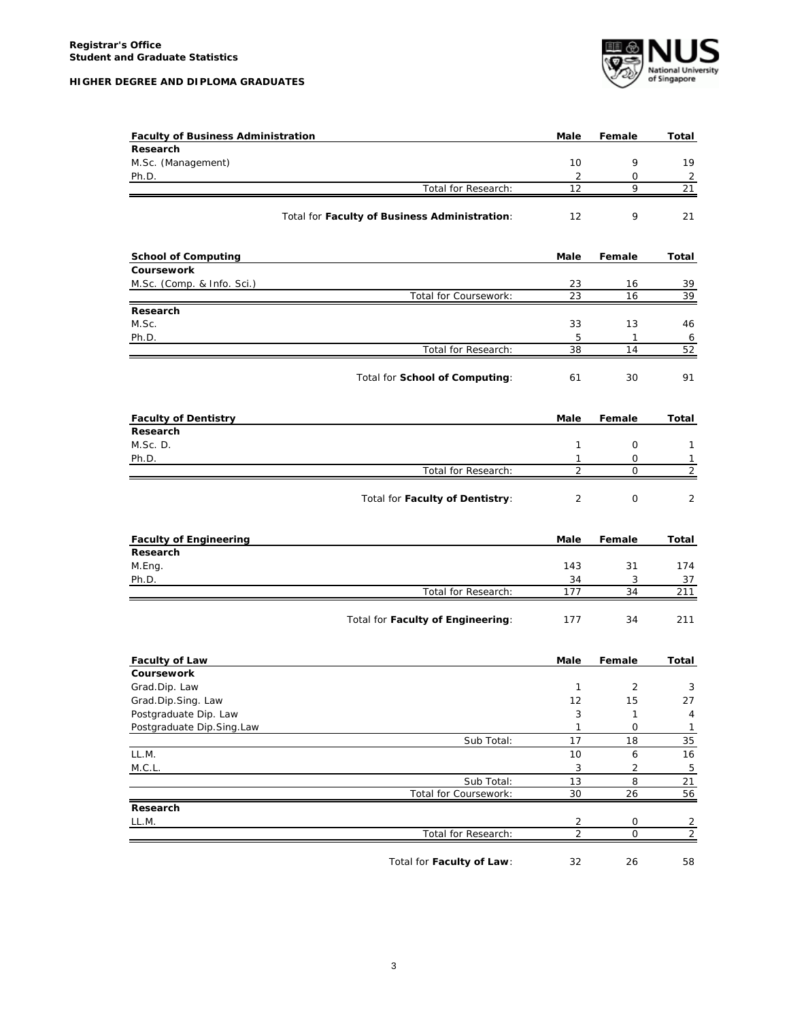

| <b>Faculty of Business Administration</b> |                                               | Male           | Female              | Total          |
|-------------------------------------------|-----------------------------------------------|----------------|---------------------|----------------|
| Research                                  |                                               |                |                     |                |
| M.Sc. (Management)                        |                                               | 10             | 9                   | 19             |
| Ph.D.                                     |                                               | 2              | 0                   | $\overline{2}$ |
|                                           | Total for Research:                           | 12             | 9                   | 21             |
|                                           | Total for Faculty of Business Administration: | 12             | 9                   | 21             |
| <b>School of Computing</b>                |                                               | Male           | Female              | Total          |
| Coursework                                |                                               |                |                     |                |
| M.Sc. (Comp. & Info. Sci.)                |                                               | 23             | 16                  | 39             |
|                                           | Total for Coursework:                         | 23             | 16                  | 39             |
| Research                                  |                                               |                |                     |                |
| M.Sc.                                     |                                               | 33             | 13                  | 46             |
| Ph.D.                                     |                                               | 5              | $\mathbf{1}$        | 6              |
|                                           | Total for Research:                           | 38             | 14                  | 52             |
|                                           | Total for School of Computing:                | 61             | 30                  | 91             |
| <b>Faculty of Dentistry</b>               |                                               | Male           | Female              | Total          |
| Research                                  |                                               |                |                     |                |
| M.Sc. D.                                  |                                               | 1              | 0                   | 1              |
| Ph.D.                                     |                                               | 1              | 0                   | $\overline{1}$ |
|                                           | Total for Research:                           | 2              | $\mathbf 0$         | $\overline{2}$ |
|                                           | Total for Faculty of Dentistry:               | $\overline{2}$ | 0                   | 2              |
| <b>Faculty of Engineering</b>             |                                               | Male           | Female              | Total          |
| Research                                  |                                               |                |                     |                |
| M.Eng.                                    |                                               | 143            | 31                  | 174            |
| Ph.D.                                     |                                               | 34             | 3                   | 37             |
|                                           | Total for Research:                           | 177            | 34                  | 211            |
|                                           | Total for Faculty of Engineering:             | 177            | 34                  | 211            |
| <b>Faculty of Law</b>                     |                                               | <b>Male</b>    | Female              | Total          |
| Coursework                                |                                               |                |                     |                |
| Grad.Dip. Law                             |                                               | 1              | 2                   | 3              |
| Grad.Dip.Sing. Law                        |                                               | 12             | 15                  | 27             |
| Postgraduate Dip. Law                     |                                               | 3              | $\mathbf{1}$        | 4              |
| Postgraduate Dip.Sing.Law                 |                                               | 1              | $\mathsf{O}\xspace$ | $\mathbf{1}$   |
|                                           | Sub Total:                                    | 17             | 18                  | 35             |
| LL.M.                                     |                                               | 10             | 6                   | 16             |
| M.C.L.                                    | Sub Total:                                    | 3<br>13        | 2<br>8              | 5<br>21        |
|                                           | Total for Coursework:                         | 30             | 26                  | 56             |
| Research                                  |                                               |                |                     |                |
| LL.M.                                     |                                               | $\overline{2}$ | 0                   | $\overline{2}$ |
|                                           | Total for Research:                           | $\overline{2}$ | $\mathbf 0$         | $\overline{2}$ |
|                                           | Total for Faculty of Law:                     | 32             | 26                  | 58             |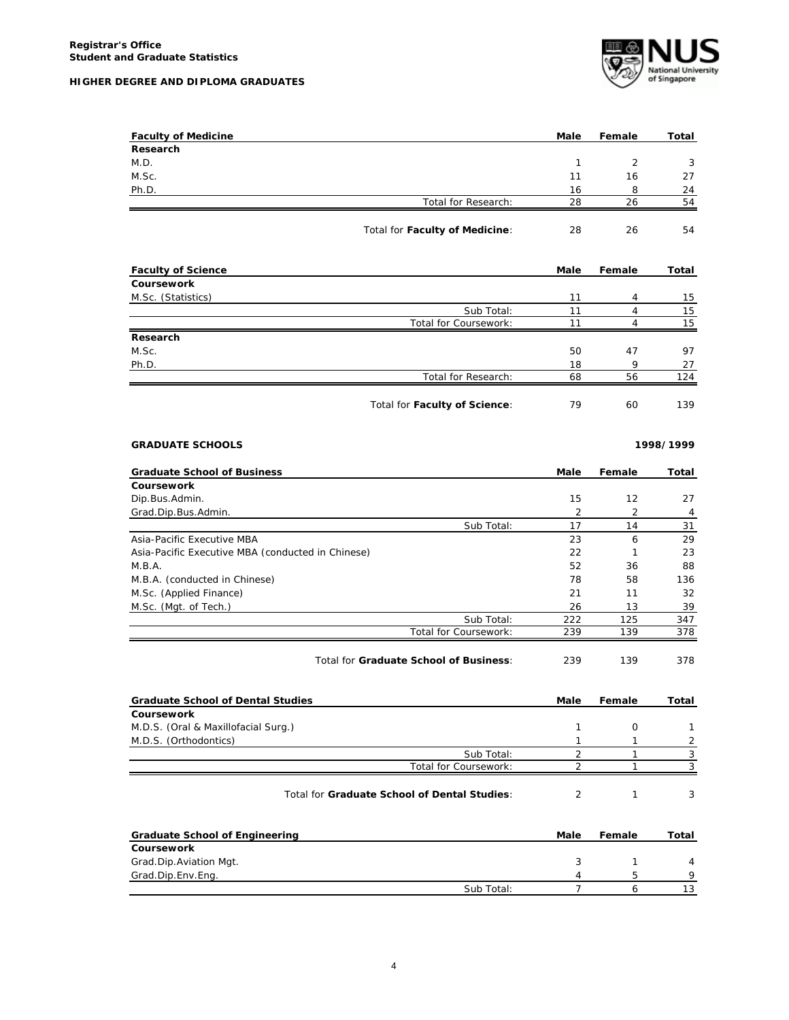

| <b>Faculty of Medicine</b>                        | Male                | Female            | <b>Total</b>   |
|---------------------------------------------------|---------------------|-------------------|----------------|
| Research                                          |                     |                   |                |
| M.D.                                              | 1                   | 2                 | 3              |
| M.Sc.                                             | 11                  | 16                | 27             |
| Ph.D.                                             | 16                  | 8                 | 24             |
| Total for Research:                               | 28                  | 26                | 54             |
| Total for Faculty of Medicine:                    | 28                  | 26                | 54             |
|                                                   |                     |                   |                |
| <b>Faculty of Science</b>                         | Male                | Female            | Total          |
| Coursework                                        |                     |                   |                |
| M.Sc. (Statistics)                                | 11                  | 4                 | 15             |
| Sub Total:                                        | 11                  | 4                 | 15             |
| Total for Coursework:                             | 11                  | 4                 | 15             |
| Research                                          |                     |                   |                |
| M.Sc.                                             | 50                  | 47                | 97             |
| Ph.D.                                             | 18                  | 9                 | 27             |
| Total for Research:                               | 68                  | $\overline{56}$   | 124            |
| Total for Faculty of Science:                     | 79                  | 60                | 139            |
| <b>GRADUATE SCHOOLS</b>                           |                     |                   | 1998/1999      |
|                                                   |                     |                   |                |
| <b>Graduate School of Business</b><br>Coursework  | Male                | Female            | Total          |
| Dip.Bus.Admin.                                    | 15                  | 12                | 27             |
| Grad.Dip.Bus.Admin.                               | 2                   | 2                 |                |
| Sub Total:                                        | 17                  | 14                | 4<br>31        |
| Asia-Pacific Executive MBA                        | 23                  | 6                 | 29             |
| Asia-Pacific Executive MBA (conducted in Chinese) | 22                  | 1                 | 23             |
| M.B.A.                                            | 52                  | 36                | 88             |
| M.B.A. (conducted in Chinese)                     | 78                  | 58                | 136            |
| M.Sc. (Applied Finance)                           | 21                  | 11                | 32             |
| M.Sc. (Mgt. of Tech.)                             | 26                  | 13                | 39             |
| Sub Total:                                        | 222                 | 125               | 347            |
| Total for Coursework:                             | 239                 | 139               | 378            |
| Total for Graduate School of Business:            | 239                 | 139               | 378            |
|                                                   |                     |                   |                |
| <b>Graduate School of Dental Studies</b>          | Male                | Female            | Total          |
| Coursework                                        |                     |                   |                |
| M.D.S. (Oral & Maxillofacial Surg.)               | 1                   | 0                 | 1              |
| M.D.S. (Orthodontics)                             | 1                   | 1                 | $\overline{2}$ |
| Sub Total:                                        | $\overline{a}$<br>2 | 1<br>$\mathbf{1}$ | $\sqrt{3}$     |
| Total for Coursework:                             |                     |                   | $\overline{3}$ |
| Total for Graduate School of Dental Studies:      | 2                   | 1                 | 3              |
| <b>Graduate School of Engineering</b>             | Male                | Female            | Total          |
| Coursework                                        |                     |                   |                |
| Grad.Dip.Aviation Mgt.                            | 3                   | 1                 | 4              |
| Grad.Dip.Env.Eng.                                 | 4                   | 5                 | 9              |
| Sub Total:                                        | $\overline{7}$      | 6                 | 13             |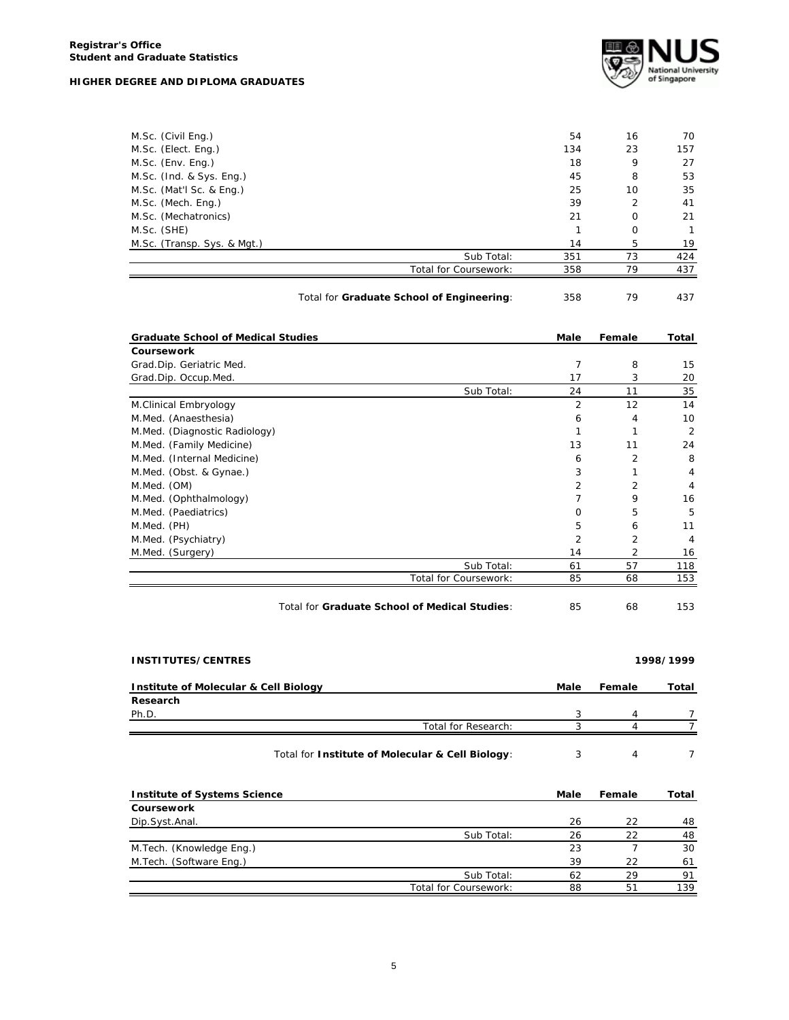|  |  | HIGHER DEGREE AND DIPLOMA GRADUATES |  |
|--|--|-------------------------------------|--|
|  |  |                                     |  |



| M.Sc. (Civil Eng.)          |                       | 54  | 16       | 70  |
|-----------------------------|-----------------------|-----|----------|-----|
| M.Sc. (Elect. Eng.)         |                       | 134 | 23       | 157 |
| M.Sc. (Env. Eng.)           |                       | 18  | 9        | 27  |
| M.Sc. (Ind. & Sys. Eng.)    |                       | 45  | 8        | 53  |
| M.Sc. (Mat'l Sc. & Eng.)    |                       | 25  | 10       | 35  |
| M.Sc. (Mech. Eng.)          |                       | 39  | 2        | 41  |
| M.Sc. (Mechatronics)        |                       | 21  | $\Omega$ | 21  |
| M.Sc. (SHE)                 |                       |     | O        |     |
| M.Sc. (Transp. Sys. & Mgt.) |                       | 14  | 5        | 19  |
|                             | Sub Total:            | 351 | 73       | 424 |
|                             | Total for Coursework: | 358 | 79       | 437 |
|                             |                       |     |          |     |

| Total for Graduate School of Engineering: | 358 |  | 437 |
|-------------------------------------------|-----|--|-----|
|-------------------------------------------|-----|--|-----|

| <b>Graduate School of Medical Studies</b> |                       | Male | Female         | Total |
|-------------------------------------------|-----------------------|------|----------------|-------|
| <b>Coursework</b>                         |                       |      |                |       |
| Grad.Dip. Geriatric Med.                  |                       | 7    | 8              | 15    |
| Grad.Dip. Occup.Med.                      |                       | 17   | 3              | 20    |
|                                           | Sub Total:            | 24   | 11             | 35    |
| M.Clinical Embryology                     |                       | 2    | 12             | 14    |
| M.Med. (Anaesthesia)                      |                       | 6    | 4              | 10    |
| M.Med. (Diagnostic Radiology)             |                       |      |                | 2     |
| M.Med. (Family Medicine)                  |                       | 13   | 11             | 24    |
| M.Med. (Internal Medicine)                |                       | 6    | $\overline{2}$ | 8     |
| M.Med. (Obst. & Gynae.)                   |                       | 3    |                | 4     |
| M.Med. (OM)                               |                       | 2    | $\overline{2}$ | 4     |
| M.Med. (Ophthalmology)                    |                       | 7    | 9              | 16    |
| M.Med. (Paediatrics)                      |                       | Ω    | 5              | 5     |
| M.Med. (PH)                               |                       | 5    | 6              | 11    |
| M.Med. (Psychiatry)                       |                       | 2    | 2              | 4     |
| M.Med. (Surgery)                          |                       | 14   | 2              | 16    |
|                                           | Sub Total:            | 61   | 57             | 118   |
|                                           | Total for Coursework: | 85   | 68             | 153   |

Total for **Graduate School of Medical Studies**: 85 68 153

## **INSTITUTES/CENTRES 1998/1999**

| Institute of Molecular & Cell Biology             |                     | Male | Female         | Total |
|---------------------------------------------------|---------------------|------|----------------|-------|
| Research                                          |                     |      |                |       |
| Ph.D.                                             |                     | 3    | 4              |       |
|                                                   | Total for Research: | 3    | 4              |       |
| Total for Institute of Molecular & Cell Biology:  |                     | 3    | 4              | 7     |
| <b>Institute of Systems Science</b><br>Coursework |                     | Male | Female         | Total |
|                                                   |                     |      |                |       |
|                                                   |                     | 26   | 22             | 48    |
| Dip.Syst.Anal.                                    | Sub Total:          | 26   | 22             | 48    |
| M.Tech. (Knowledge Eng.)                          |                     | 23   | $\overline{ }$ | 30    |
| M. Tech. (Software Eng.)                          |                     | 39   | 22             | 61    |
|                                                   | Sub Total:          | 62   | 29             | 91    |